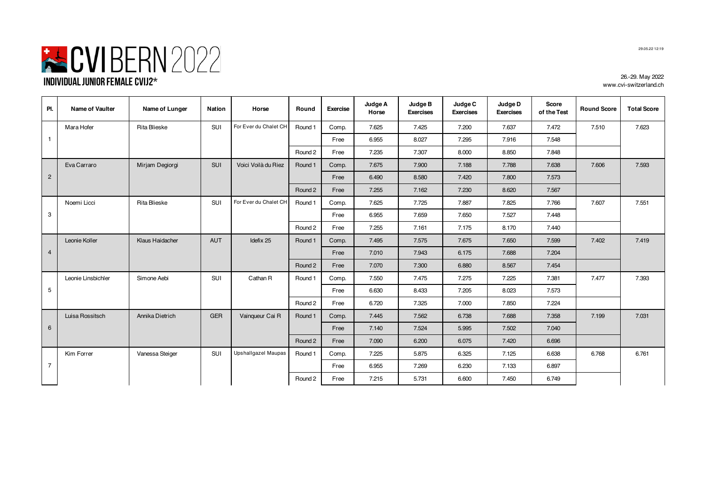

| PI.            | Name of Vaulter    | Name of Lunger  | Nation     | Horse                      | Round   | <b>Exercise</b> | Judge A<br>Horse | Judge B<br><b>Exercises</b> | Judge C<br><b>Exercises</b> | Judge D<br><b>Exercises</b> | Score<br>of the Test | <b>Round Score</b> | <b>Total Score</b> |
|----------------|--------------------|-----------------|------------|----------------------------|---------|-----------------|------------------|-----------------------------|-----------------------------|-----------------------------|----------------------|--------------------|--------------------|
|                | Mara Hofer         | Rita Blieske    | SUI        | For Ever du Chalet CH      | Round 1 | Comp.           | 7.625            | 7.425                       | 7.200                       | 7.637                       | 7.472                | 7.510              | 7.623              |
| $\mathbf{1}$   |                    |                 |            |                            |         | Free            | 6.955            | 8.027                       | 7.295                       | 7.916                       | 7.548                |                    |                    |
|                |                    |                 |            |                            | Round 2 | Free            | 7.235            | 7.307                       | 8.000                       | 8.850                       | 7.848                |                    |                    |
|                | Eva Carraro        | Mirjam Degiorgi | <b>SUI</b> | Voici Voilà du Riez        | Round 1 | Comp.           | 7.675            | 7.900                       | 7.188                       | 7.788                       | 7.638                | 7.606              | 7.593              |
| $\overline{2}$ |                    |                 |            |                            |         | Free            | 6.490            | 8.580                       | 7.420                       | 7.800                       | 7.573                |                    |                    |
|                |                    |                 |            |                            | Round 2 | Free            | 7.255            | 7.162                       | 7.230                       | 8.620                       | 7.567                |                    |                    |
|                | Noemi Licci        | Rita Blieske    | SUI        | For Ever du Chalet CH      | Round 1 | Comp.           | 7.625            | 7.725                       | 7.887                       | 7.825                       | 7.766                | 7.607              | 7.551              |
| 3              |                    |                 |            |                            |         | Free            | 6.955            | 7.659                       | 7.650                       | 7.527                       | 7.448                |                    |                    |
|                |                    |                 |            |                            | Round 2 | Free            | 7.255            | 7.161                       | 7.175                       | 8.170                       | 7.440                |                    |                    |
|                | Leonie Koller      | Klaus Haidacher | <b>AUT</b> | Idefix 25                  | Round 1 | Comp.           | 7.495            | 7.575                       | 7.675                       | 7.650                       | 7.599                | 7.402              | 7.419              |
| $\overline{4}$ |                    |                 |            |                            |         | Free            | 7.010            | 7.943                       | 6.175                       | 7.688                       | 7.204                |                    |                    |
|                |                    |                 |            |                            | Round 2 | Free            | 7.070            | 7.300                       | 6.880                       | 8.567                       | 7.454                |                    |                    |
|                | Leonie Linsbichler | Simone Aebi     | <b>SUI</b> | Cathan R                   | Round 1 | Comp.           | 7.550            | 7.475                       | 7.275                       | 7.225                       | 7.381                | 7.477              | 7.393              |
| 5              |                    |                 |            |                            |         | Free            | 6.630            | 8.433                       | 7.205                       | 8.023                       | 7.573                |                    |                    |
|                |                    |                 |            |                            | Round 2 | Free            | 6.720            | 7.325                       | 7.000                       | 7.850                       | 7.224                |                    |                    |
|                | Luisa Rossitsch    | Annika Dietrich | <b>GER</b> | Vainqueur Cai R            | Round 1 | Comp.           | 7.445            | 7.562                       | 6.738                       | 7.688                       | 7.358                | 7.199              | 7.031              |
| 6              |                    |                 |            |                            |         | Free            | 7.140            | 7.524                       | 5.995                       | 7.502                       | 7.040                |                    |                    |
|                |                    |                 |            |                            | Round 2 | Free            | 7.090            | 6.200                       | 6.075                       | 7.420                       | 6.696                |                    |                    |
|                | Kim Forrer         | Vanessa Steiger | SUI        | <b>Upshallgazel Maupas</b> | Round 1 | Comp.           | 7.225            | 5.875                       | 6.325                       | 7.125                       | 6.638                | 6.768              | 6.761              |
| $\overline{7}$ |                    |                 |            |                            |         | Free            | 6.955            | 7.269                       | 6.230                       | 7.133                       | 6.897                |                    |                    |
|                |                    |                 |            |                            | Round 2 | Free            | 7.215            | 5.731                       | 6.600                       | 7.450                       | 6.749                |                    |                    |
|                |                    |                 |            |                            |         |                 |                  |                             |                             |                             |                      |                    |                    |

┱

T

┱

T

 $\overline{\phantom{a}}$ 

26.-29. May 2022

www.cvi-switzerland.ch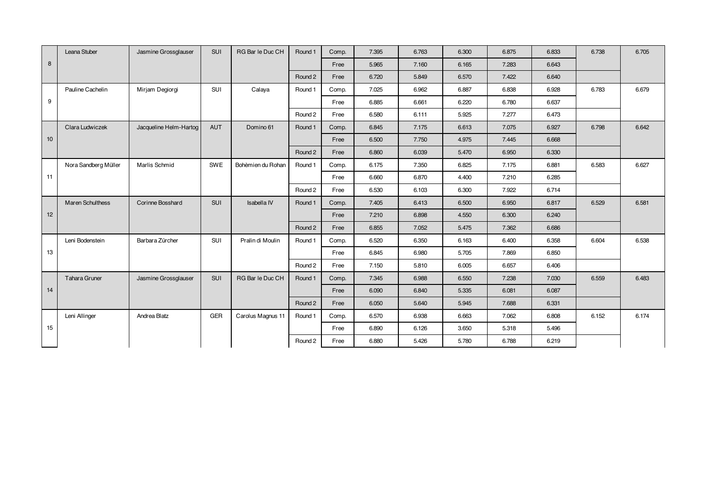|    | Leana Stuber            | Jasmine Grossglauser   | <b>SUI</b> | RG Bar le Duc CH  | Round 1 | Comp. | 7.395 | 6.763 | 6.300 | 6.875 | 6.833 | 6.738 | 6.705 |
|----|-------------------------|------------------------|------------|-------------------|---------|-------|-------|-------|-------|-------|-------|-------|-------|
| 8  |                         |                        |            |                   |         | Free  | 5.965 | 7.160 | 6.165 | 7.283 | 6.643 |       |       |
|    |                         |                        |            |                   | Round 2 | Free  | 6.720 | 5.849 | 6.570 | 7.422 | 6.640 |       |       |
|    | Pauline Cachelin        | Mirjam Degiorgi        | SUI        | Calaya            | Round 1 | Comp. | 7.025 | 6.962 | 6.887 | 6.838 | 6.928 | 6.783 | 6.679 |
| 9  |                         |                        |            |                   |         | Free  | 6.885 | 6.661 | 6.220 | 6.780 | 6.637 |       |       |
|    |                         |                        |            |                   | Round 2 | Free  | 6.580 | 6.111 | 5.925 | 7.277 | 6.473 |       |       |
|    | Clara Ludwiczek         | Jacqueline Helm-Hartog | <b>AUT</b> | Domino 61         | Round 1 | Comp. | 6.845 | 7.175 | 6.613 | 7.075 | 6.927 | 6.798 | 6.642 |
| 10 |                         |                        |            |                   |         | Free  | 6.500 | 7.750 | 4.975 | 7.445 | 6.668 |       |       |
|    |                         |                        |            |                   | Round 2 | Free  | 6.860 | 6.039 | 5.470 | 6.950 | 6.330 |       |       |
|    | Nora Sandberg Müller    | Marlis Schmid          | SWE        | Bohèmien du Rohan | Round 1 | Comp. | 6.175 | 7.350 | 6.825 | 7.175 | 6.881 | 6.583 | 6.627 |
| 11 |                         |                        |            |                   |         | Free  | 6.660 | 6.870 | 4.400 | 7.210 | 6.285 |       |       |
|    |                         |                        |            |                   | Round 2 | Free  | 6.530 | 6.103 | 6.300 | 7.922 | 6.714 |       |       |
|    | <b>Maren Schulthess</b> | Corinne Bosshard       | <b>SUI</b> | Isabella IV       | Round 1 | Comp. | 7.405 | 6.413 | 6.500 | 6.950 | 6.817 | 6.529 | 6.581 |
| 12 |                         |                        |            |                   |         | Free  | 7.210 | 6.898 | 4.550 | 6.300 | 6.240 |       |       |
|    |                         |                        |            |                   | Round 2 | Free  | 6.855 | 7.052 | 5.475 | 7.362 | 6.686 |       |       |
|    | Leni Bodenstein         | Barbara Zürcher        | SUI        | Pralin di Moulin  | Round 1 | Comp. | 6.520 | 6.350 | 6.163 | 6.400 | 6.358 | 6.604 | 6.538 |
| 13 |                         |                        |            |                   |         | Free  | 6.845 | 6.980 | 5.705 | 7.869 | 6.850 |       |       |
|    |                         |                        |            |                   | Round 2 | Free  | 7.150 | 5.810 | 6.005 | 6.657 | 6.406 |       |       |
|    | Tahara Gruner           | Jasmine Grossglauser   | <b>SUI</b> | RG Bar le Duc CH  | Round 1 | Comp. | 7.345 | 6.988 | 6.550 | 7.238 | 7.030 | 6.559 | 6.483 |
| 14 |                         |                        |            |                   |         | Free  | 6.090 | 6.840 | 5.335 | 6.081 | 6.087 |       |       |
|    |                         |                        |            |                   | Round 2 | Free  | 6.050 | 5.640 | 5.945 | 7.688 | 6.331 |       |       |
|    | Leni Allinger           | Andrea Blatz           | GER        | Carolus Magnus 11 | Round 1 | Comp. | 6.570 | 6.938 | 6.663 | 7.062 | 6.808 | 6.152 | 6.174 |
| 15 |                         |                        |            |                   |         | Free  | 6.890 | 6.126 | 3.650 | 5.318 | 5.496 |       |       |
|    |                         |                        |            |                   | Round 2 | Free  | 6.880 | 5.426 | 5.780 | 6.788 | 6.219 |       |       |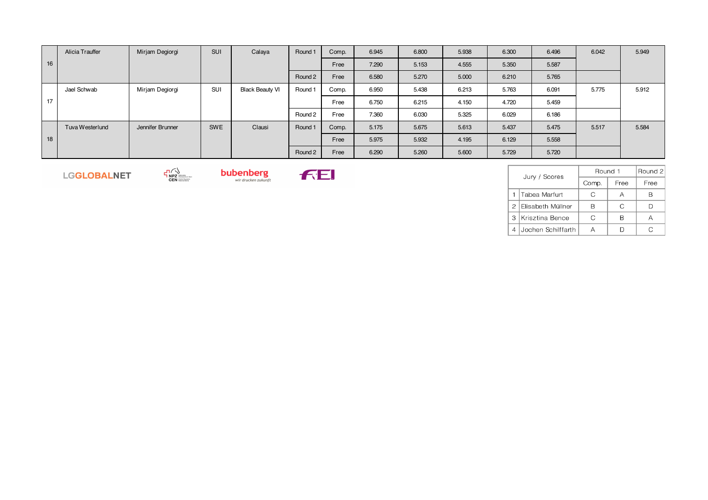|    | Alicia Trauffer | Mirjam Degiorgi  | SUI        | Calaya                 | Round 1 | Comp. | 6.945 | 6.800 | 5.938 | 6.300 | 6.496 | 6.042 | 5.949 |
|----|-----------------|------------------|------------|------------------------|---------|-------|-------|-------|-------|-------|-------|-------|-------|
| 16 |                 |                  |            |                        |         | Free  | 7.290 | 5.153 | 4.555 | 5.350 | 5.587 |       |       |
|    |                 |                  |            |                        | Round 2 | Free  | 6.580 | 5.270 | 5.000 | 6.210 | 5.765 |       |       |
|    | Jael Schwab     | Mirjam Degiorgi  | SUI        | <b>Black Beauty VI</b> | Round 1 | Comp. | 6.950 | 5.438 | 6.213 | 5.763 | 6.091 | 5.775 | 5.912 |
| 17 |                 |                  |            |                        |         | Free  | 6.750 | 6.215 | 4.150 | 4.720 | 5.459 |       |       |
|    |                 |                  |            |                        | Round 2 | Free  | 7.360 | 6.030 | 5.325 | 6.029 | 6.186 |       |       |
|    | Tuva Westerlund | Jennifer Brunner | <b>SWE</b> | Clausi                 | Round 1 | Comp. | 5.175 | 5.675 | 5.613 | 5.437 | 5.475 | 5.517 | 5.584 |
| 18 |                 |                  |            |                        |         | Free  | 5.975 | 5.932 | 4.195 | 6.129 | 5.558 |       |       |
|    |                 |                  |            |                        | Round 2 | Free  | 6.290 | 5.260 | 5.600 | 5.729 | 5.720 |       |       |

LGGLOBALNET

 $\negthickspace\negthickspace\negthickspace\negthickspace\sum_{\textbf{NPZ}}\negthickspace\negthickspace\negthickspace\sum_{\textbf{CEN}}\negthickspace\negthickspace\sum_{\textbf{CEN}}\negthickspace\negthickspace\sum_{\textbf{CEN}}\negthickspace\negthickspace\sum_{\textbf{CEN}}\negthickspace\negthickspace\sum_{\textbf{CEN}}\negthickspace\negthickspace\sum_{\textbf{CEN}}\negthickspace\negthickspace\sum_{\textbf{CEN}}\negthickspace\negthickspace\sum_{\textbf{CEN}}\negthickspace\negthickspace\sum_{\textbf{CEN}}\negthickspace$ **bubenberg** 



|   | Jury / Scores       | Round 1 | Round 2 |      |  |
|---|---------------------|---------|---------|------|--|
|   |                     | Comp.   | Free    | Free |  |
|   | Tabea Marfurt       | C       |         |      |  |
|   | 2 Elisabeth Müllner |         | C       |      |  |
| 3 | Krisztina Bence     | C       |         |      |  |
|   | Jochen Schilffarth  |         |         |      |  |